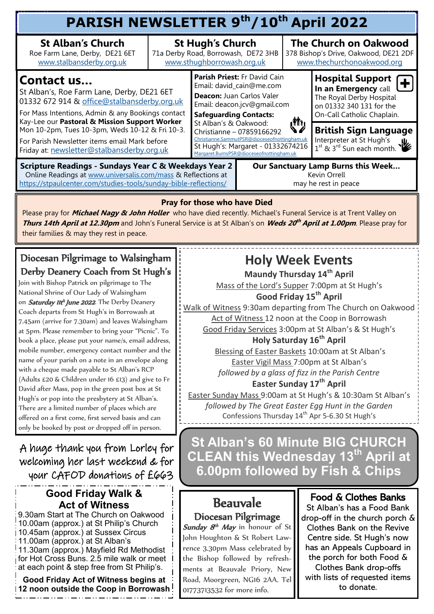| PARISH NEWSLETTER 9th/10th April 2022                                                                                                                                                                                |                                                                                              |                                                                                                                                                                                                                                                                                                                                                          |  |                                                                                                                                                                                                                                                                                                                                                                                         |                                                                                                                                       |  |  |  |  |
|----------------------------------------------------------------------------------------------------------------------------------------------------------------------------------------------------------------------|----------------------------------------------------------------------------------------------|----------------------------------------------------------------------------------------------------------------------------------------------------------------------------------------------------------------------------------------------------------------------------------------------------------------------------------------------------------|--|-----------------------------------------------------------------------------------------------------------------------------------------------------------------------------------------------------------------------------------------------------------------------------------------------------------------------------------------------------------------------------------------|---------------------------------------------------------------------------------------------------------------------------------------|--|--|--|--|
| <b>St Alban's Church</b><br>Roe Farm Lane, Derby, DE21 6ET<br>www.stalbansderby.org.uk                                                                                                                               | <b>St Hugh's Church</b><br>71a Derby Road, Borrowash, DE72 3HB<br>www.sthughborrowash.org.uk |                                                                                                                                                                                                                                                                                                                                                          |  | <b>The Church on Oakwood</b><br>378 Bishop's Drive, Oakwood, DE21 2DF<br>www.thechurchonoakwood.org                                                                                                                                                                                                                                                                                     |                                                                                                                                       |  |  |  |  |
| <b>Contact us</b><br>St Alban's, Roe Farm Lane, Derby, DE21 6ET<br>01332 672 914 & office@stalbansderby.org.uk<br>For Mass Intentions, Admin & any Bookings contact<br>Kay-Lee our Pastoral & Mission Support Worker |                                                                                              | <b>Parish Priest: Fr David Cain</b><br>Email: david_cain@me.com<br>Deacon: Juan Carlos Valer<br>Email: deacon.jcv@gmail.com<br><b>Safeguarding Contacts:</b><br>W<br>St Alban's & Oakwood:<br>Christianne - 07859166292<br>Christianne.SammutPSR@dioceseofnottingham.uk<br>St Hugh's: Margaret - 01332674216<br>Margaret.BurnsPSR@dioceseofnottingham.uk |  |                                                                                                                                                                                                                                                                                                                                                                                         | <b>Hospital Support</b><br>In an Emergency call<br>The Royal Derby Hospital<br>on 01332 340 131 for the<br>On-Call Catholic Chaplain. |  |  |  |  |
| Mon 10-2pm, Tues 10-3pm, Weds 10-12 & Fri 10-3.<br>For Parish Newsletter items email Mark before<br>Friday at: newsletter@stalbansderby.org.uk                                                                       |                                                                                              |                                                                                                                                                                                                                                                                                                                                                          |  | <b>British Sign Language</b><br>Interpreter at St Hugh's<br>$\frac{1}{1}$ st $\frac{1}{2}$ st $\frac{1}{3}$ rd $\frac{1}{3}$ st $\frac{1}{3}$ st $\frac{1}{3}$ st $\frac{1}{3}$ st $\frac{1}{3}$ st $\frac{1}{3}$ st $\frac{1}{3}$ st $\frac{1}{3}$ st $\frac{1}{3}$ st $\frac{1}{3}$ st $\frac{1}{3}$ st $\frac{1}{3}$ st $\frac{1}{3}$ st $\frac{1}{3}$ st $\frac{1}{3}$ st $\frac{1$ |                                                                                                                                       |  |  |  |  |
| <b>Scripture Readings - Sundays Year C &amp; Weekdays Year 2</b><br>Online Readings at www.universalis.com/mass & Reflections at<br>https://stpaulcenter.com/studies-tools/sunday-bible-reflections/                 | Our Sanctuary Lamp Burns this Week<br>Kevin Orrell<br>may he rest in peace                   |                                                                                                                                                                                                                                                                                                                                                          |  |                                                                                                                                                                                                                                                                                                                                                                                         |                                                                                                                                       |  |  |  |  |

#### **Pray for those who have Died**

Please pray for **Michael Nagy & John Holler** who have died recently. Michael's Funeral Service is at Trent Valley on **Thurs 14th April at 12.30pm** and John's Funeral Service is at St Alban's on **Weds 20 th April at 1.00pm**. Please pray for their families & may they rest in peace.

### Diocesan Pilgrimage to Walsingham Derby Deanery Coach from St Hugh's

Join with Bishop Patrick on pilgrimage to The National Shrine of Our Lady of Walsingham on Saturday IIth June 2022. The Derby Deanery Coach departs from St Hugh's in Borrowash at 7.45am (arrive for 7.30am) and leaves Walsingham at 5pm. Please remember to bring your "Picnic". To book a place, please put your name/s, email address, mobile number, emergency contact number and the name of your parish on a note in an envelope along with a cheque made payable to St Alban's RCP (Adults £20 & Children under 16 £13) and give to Fr David after Mass, pop in the green post box at St Hugh's or pop into the presbytery at St Alban's. There are a limited number of places which are offered on a first come, first served basis and can only be booked by post or dropped off in person.

A huge thank you from Lorley for welcoming her last weekend & for your CAFOD donations of £663

### **Good Friday Walk & Act of Witness**

9.30am Start at The Church on Oakwood 10.00am (approx.) at St Philip's Church 10.45am (approx.) at Sussex Circus 11.00am (approx.) at St Alban's 11.30am (approx.) Mayfield Rd Methodist for Hot Cross Buns. 2.5 mile walk or meet at each point & step free from St Philip's.

**Good Friday Act of Witness begins at 12 noon outside the Coop in Borrowash**

## **Holy Week Events**

**Maundy Thursday 14th April**

Mass of the Lord's Supper 7:00pm at St Hugh's

**Good Friday 15th April**

Walk of Witness 9:30am departing from The Church on Oakwood Act of Witness 12 noon at the Coop in Borrowash Good Friday Services 3:00pm at St Alban's & St Hugh's

## **Holy Saturday 16th April**

Blessing of Easter Baskets 10:00am at St Alban's Easter Vigil Mass 7:00pm at St Alban's *followed by a glass of fizz in the Parish Centre*

### **Easter Sunday 17th April**

Easter Sunday Mass 9:00am at St Hugh's & 10:30am St Alban's *followed by The Great Easter Egg Hunt in the Garden* Confessions Thursday 14<sup>th</sup> Apr 5-6.30 St Hugh's

**St Alban's 60 Minute BIG CHURCH CLEAN this Wednesday 13th April at 6.00pm followed by Fish & Chips** 

# Beauvale

Diocesan Pilgrimage Sunday 8<sup>th</sup> May in honour of St John Houghton & St Robert Lawrence 3.30pm Mass celebrated by the Bishop followed by refreshments at Beauvale Priory, New Road, Moorgreen, NG16 2AA. Tel 01773713532 for more info.

### Food & Clothes Banks

St Alban's has a Food Bank drop-off in the church porch & Clothes Bank on the Revive Centre side. St Hugh's now has an Appeals Cupboard in the porch for both Food & Clothes Bank drop-offs with lists of requested items to donate.